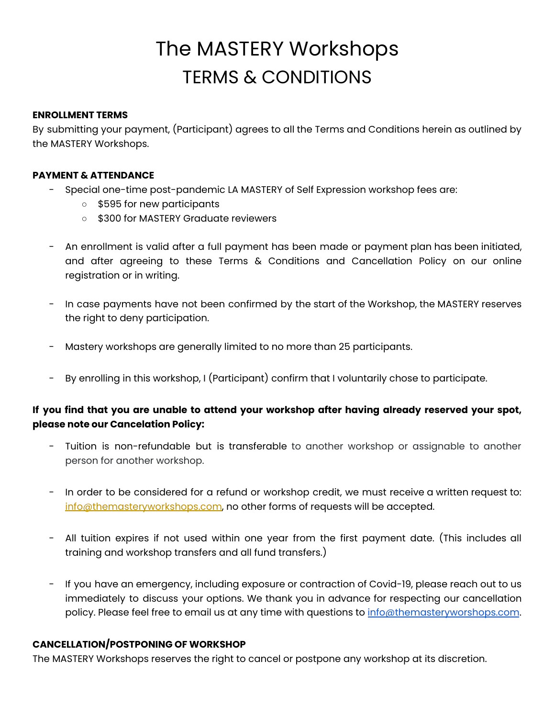# The MASTERY Workshops TERMS & CONDITIONS

#### **ENROLLMENT TERMS**

By submitting your payment, (Participant) agrees to all the Terms and Conditions herein as outlined by the MASTERY Workshops.

## **PAYMENT & ATTENDANCE**

- Special one-time post-pandemic LA MASTERY of Self Expression workshop fees are:
	- \$595 for new participants
	- \$300 for MASTERY Graduate reviewers
- An enrollment is valid after a full payment has been made or payment plan has been initiated, and after agreeing to these Terms & Conditions and Cancellation Policy on our online registration or in writing.
- In case payments have not been confirmed by the start of the Workshop, the MASTERY reserves the right to deny participation.
- Mastery workshops are generally limited to no more than 25 participants.
- By enrolling in this workshop, I (Participant) confirm that I voluntarily chose to participate.

# **If you find that you are unable to attend your workshop after having already reserved your spot, please note our Cancelation Policy:**

- Tuition is non-refundable but is transferable to another workshop or assignable to another person for another workshop.
- In order to be considered for a refund or workshop credit, we must receive a written request to: info@themasteryworkshops.com, no other forms of requests will be accepted.
- All tuition expires if not used within one year from the first payment date. (This includes all training and workshop transfers and all fund transfers.)
- If you have an emergency, including exposure or contraction of Covid-19, please reach out to us immediately to discuss your options. We thank you in advance for respecting our cancellation policy. Please feel free to email us at any time with questions to [info@themasteryworshops.com](mailto:info@themasteryworshops.com).

# **CANCELLATION/POSTPONING OF WORKSHOP**

The MASTERY Workshops reserves the right to cancel or postpone any workshop at its discretion.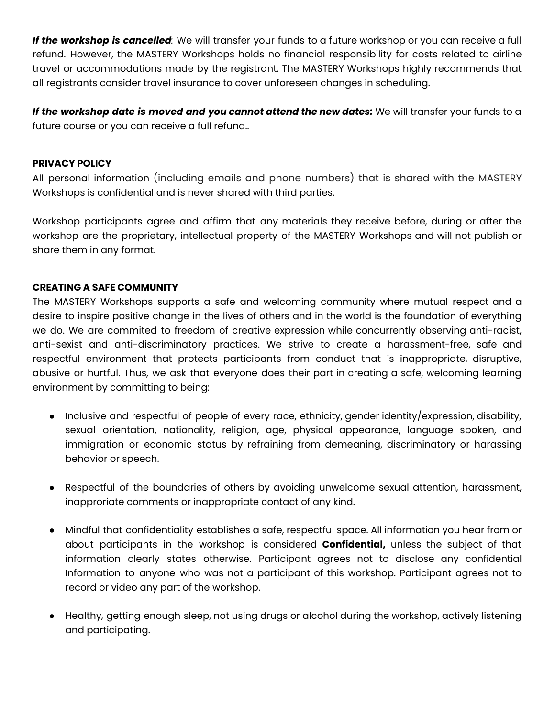*If the workshop is cancelled:* We will transfer your funds to a future workshop or you can receive a full refund. However, the MASTERY Workshops holds no financial responsibility for costs related to airline travel or accommodations made by the registrant. The MASTERY Workshops highly recommends that all registrants consider travel insurance to cover unforeseen changes in scheduling.

*If the workshop date is moved and you cannot attend the new dates:* We will transfer your funds to a future course or you can receive a full refund..

#### **PRIVACY POLICY**

All personal information (including emails and phone numbers) that is shared with the MASTERY Workshops is confidential and is never shared with third parties.

Workshop participants agree and affirm that any materials they receive before, during or after the workshop are the proprietary, intellectual property of the MASTERY Workshops and will not publish or share them in any format.

#### **CREATING A SAFE COMMUNITY**

The MASTERY Workshops supports a safe and welcoming community where mutual respect and a desire to inspire positive change in the lives of others and in the world is the foundation of everything we do. We are commited to freedom of creative expression while concurrently observing anti-racist, anti-sexist and anti-discriminatory practices. We strive to create a harassment-free, safe and respectful environment that protects participants from conduct that is inappropriate, disruptive, abusive or hurtful. Thus, we ask that everyone does their part in creating a safe, welcoming learning environment by committing to being:

- Inclusive and respectful of people of every race, ethnicity, gender identity/expression, disability, sexual orientation, nationality, religion, age, physical appearance, language spoken, and immigration or economic status by refraining from demeaning, discriminatory or harassing behavior or speech.
- Respectful of the boundaries of others by avoiding unwelcome sexual attention, harassment, inapproriate comments or inappropriate contact of any kind.
- Mindful that confidentiality establishes a safe, respectful space. All information you hear from or about participants in the workshop is considered **Confidential,** unless the subject of that information clearly states otherwise. Participant agrees not to disclose any confidential Information to anyone who was not a participant of this workshop. Participant agrees not to record or video any part of the workshop.
- Healthy, getting enough sleep, not using drugs or alcohol during the workshop, actively listening and participating.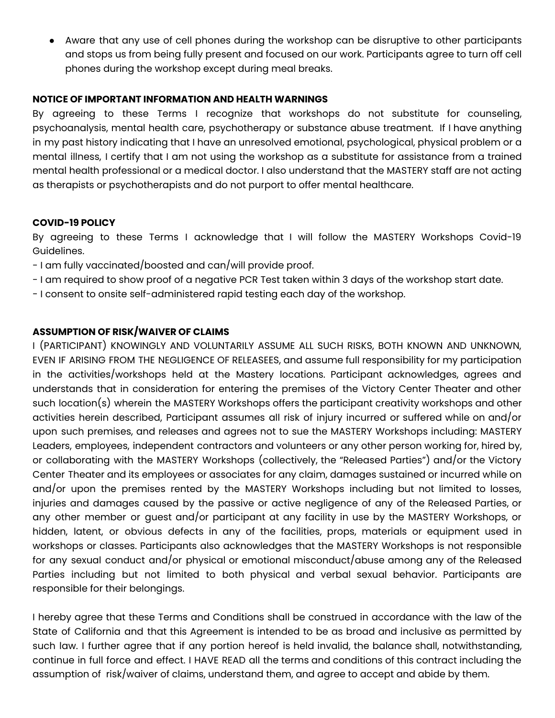● Aware that any use of cell phones during the workshop can be disruptive to other participants and stops us from being fully present and focused on our work. Participants agree to turn off cell phones during the workshop except during meal breaks.

#### **NOTICE OF IMPORTANT INFORMATION AND HEALTH WARNINGS**

By agreeing to these Terms I recognize that workshops do not substitute for counseling, psychoanalysis, mental health care, psychotherapy or substance abuse treatment. If I have anything in my past history indicating that I have an unresolved emotional, psychological, physical problem or a mental illness, I certify that I am not using the workshop as a substitute for assistance from a trained mental health professional or a medical doctor. I also understand that the MASTERY staff are not acting as therapists or psychotherapists and do not purport to offer mental healthcare.

#### **COVID-19 POLICY**

By agreeing to these Terms I acknowledge that I will follow the MASTERY Workshops Covid-19 Guidelines.

- I am fully vaccinated/boosted and can/will provide proof.
- I am required to show proof of a negative PCR Test taken within 3 days of the workshop start date.
- I consent to onsite self-administered rapid testing each day of the workshop.

## **ASSUMPTION OF RISK/WAIVER OF CLAIMS**

I (PARTICIPANT) KNOWINGLY AND VOLUNTARILY ASSUME ALL SUCH RISKS, BOTH KNOWN AND UNKNOWN, EVEN IF ARISING FROM THE NEGLIGENCE OF RELEASEES, and assume full responsibility for my participation in the activities/workshops held at the Mastery locations. Participant acknowledges, agrees and understands that in consideration for entering the premises of the Victory Center Theater and other such location(s) wherein the MASTERY Workshops offers the participant creativity workshops and other activities herein described, Participant assumes all risk of injury incurred or suffered while on and/or upon such premises, and releases and agrees not to sue the MASTERY Workshops including: MASTERY Leaders, employees, independent contractors and volunteers or any other person working for, hired by, or collaborating with the MASTERY Workshops (collectively, the "Released Parties") and/or the Victory Center Theater and its employees or associates for any claim, damages sustained or incurred while on and/or upon the premises rented by the MASTERY Workshops including but not limited to losses, injuries and damages caused by the passive or active negligence of any of the Released Parties, or any other member or guest and/or participant at any facility in use by the MASTERY Workshops, or hidden, latent, or obvious defects in any of the facilities, props, materials or equipment used in workshops or classes. Participants also acknowledges that the MASTERY Workshops is not responsible for any sexual conduct and/or physical or emotional misconduct/abuse among any of the Released Parties including but not limited to both physical and verbal sexual behavior. Participants are responsible for their belongings.

I hereby agree that these Terms and Conditions shall be construed in accordance with the law of the State of California and that this Agreement is intended to be as broad and inclusive as permitted by such law. I further agree that if any portion hereof is held invalid, the balance shall, notwithstanding, continue in full force and effect. I HAVE READ all the terms and conditions of this contract including the assumption of risk/waiver of claims, understand them, and agree to accept and abide by them.